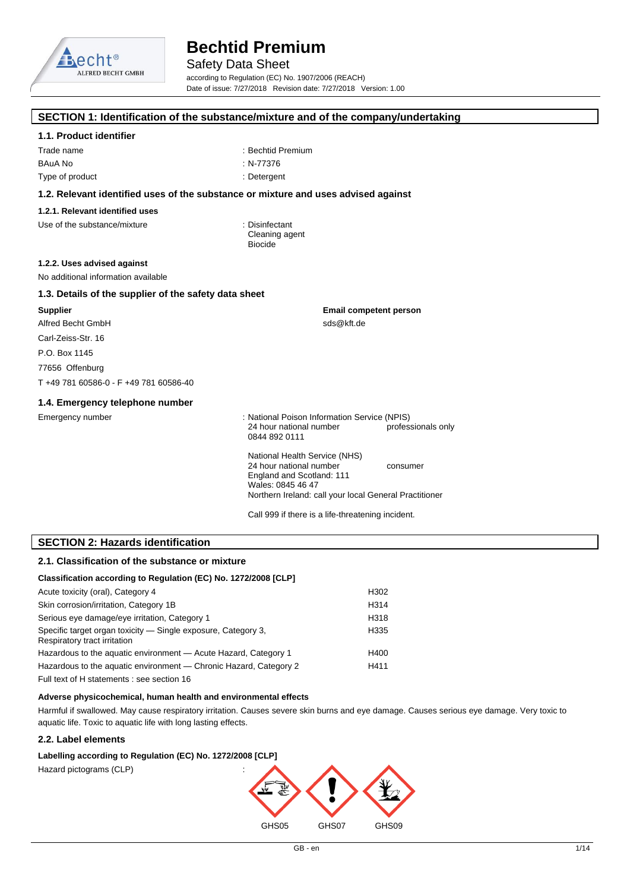

Safety Data Sheet

according to Regulation (EC) No. 1907/2006 (REACH) Date of issue: 7/27/2018 Revision date: 7/27/2018 Version: 1.00

#### **SECTION 1: Identification of the substance/mixture and of the company/undertaking**

#### **1.1. Product identifier**

Trade name  $\qquad \qquad :$  Bechtid Premium BAuA No : N-77376 Type of product in the contract of the contract of the contract of the contract of the contract of the contract of the contract of the contract of the contract of the contract of the contract of the contract of the contrac

#### **1.2. Relevant identified uses of the substance or mixture and uses advised against**

#### **1.2.1. Relevant identified uses**

Use of the substance/mixture in the substance in the set of the substance in the set of the substance in the s

Cleaning agent Biocide

#### **1.2.2. Uses advised against**

No additional information available

#### **1.3. Details of the supplier of the safety data sheet**

**Supplier** Alfred Becht GmbH Carl-Zeiss-Str. 16 P.O. Box 1145 77656 Offenburg

T +49 781 60586-0 - F +49 781 60586-40

#### **1.4. Emergency telephone number**

Emergency number : National Poison Information Service (NPIS) 24 hour national number professionals only 0844 892 0111

**Email competent person**

sds@kft.de

National Health Service (NHS) 24 hour national number consumer England and Scotland: 111 Wales: 0845 46 47 Northern Ireland: call your local General Practitioner

Call 999 if there is a life-threatening incident.

#### **SECTION 2: Hazards identification**

#### **2.1. Classification of the substance or mixture**

### **Classification according to Regulation (EC) No. 1272/2008 [CLP]**

| Acute toxicity (oral), Category 4                                                             | H302 |
|-----------------------------------------------------------------------------------------------|------|
| Skin corrosion/irritation, Category 1B                                                        | H314 |
| Serious eye damage/eye irritation, Category 1                                                 | H318 |
| Specific target organ toxicity - Single exposure, Category 3,<br>Respiratory tract irritation | H335 |
| Hazardous to the aquatic environment - Acute Hazard, Category 1                               | H400 |
| Hazardous to the aquatic environment — Chronic Hazard, Category 2                             | H411 |
| Full text of H statements : see section 16                                                    |      |

#### **Adverse physicochemical, human health and environmental effects**

Harmful if swallowed. May cause respiratory irritation. Causes severe skin burns and eye damage. Causes serious eye damage. Very toxic to aquatic life. Toxic to aquatic life with long lasting effects.

#### **2.2. Label elements**

#### Labelling according to Regulation (EC) No. 1272/2008 [CLP]

Hazard pictograms (CLP) :

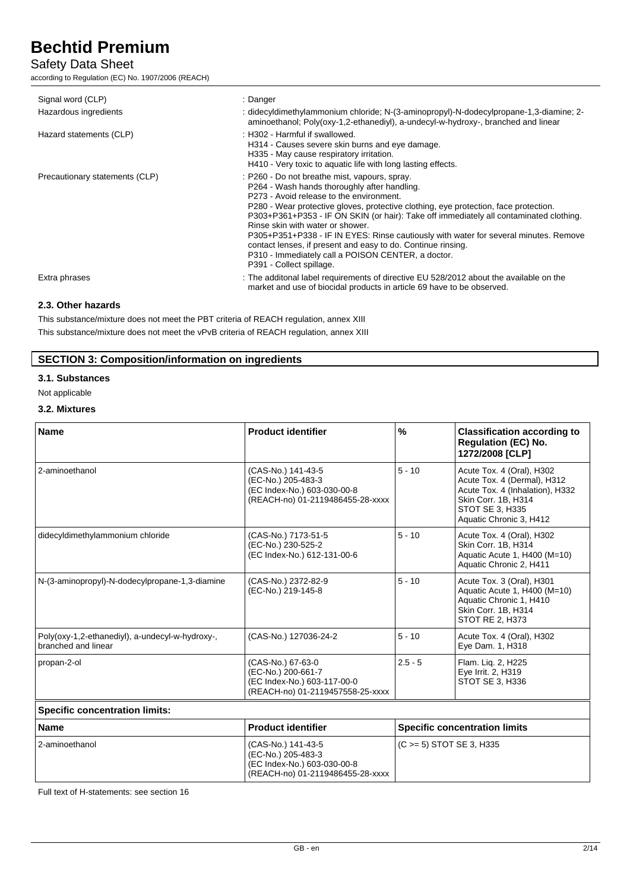### Safety Data Sheet

according to Regulation (EC) No. 1907/2006 (REACH)

| Signal word (CLP)<br>Hazardous ingredients<br>Hazard statements (CLP) | : Danger<br>: didecyldimethylammonium chloride; N-(3-aminopropyl)-N-dodecylpropane-1,3-diamine; 2-<br>aminoethanol; Poly(oxy-1,2-ethanediyl), a-undecyl-w-hydroxy-, branched and linear<br>: H302 - Harmful if swallowed.<br>H314 - Causes severe skin burns and eye damage.<br>H335 - May cause respiratory irritation.<br>H410 - Very toxic to aquatic life with long lasting effects.                                                                                                                                                                                                                  |
|-----------------------------------------------------------------------|-----------------------------------------------------------------------------------------------------------------------------------------------------------------------------------------------------------------------------------------------------------------------------------------------------------------------------------------------------------------------------------------------------------------------------------------------------------------------------------------------------------------------------------------------------------------------------------------------------------|
| Precautionary statements (CLP)                                        | : P260 - Do not breathe mist, vapours, spray.<br>P264 - Wash hands thoroughly after handling.<br>P273 - Avoid release to the environment.<br>P280 - Wear protective gloves, protective clothing, eye protection, face protection.<br>P303+P361+P353 - IF ON SKIN (or hair): Take off immediately all contaminated clothing.<br>Rinse skin with water or shower.<br>P305+P351+P338 - IF IN EYES: Rinse cautiously with water for several minutes. Remove<br>contact lenses, if present and easy to do. Continue rinsing.<br>P310 - Immediately call a POISON CENTER, a doctor.<br>P391 - Collect spillage. |
| Extra phrases                                                         | : The additonal label requirements of directive EU 528/2012 about the available on the<br>market and use of biocidal products in article 69 have to be observed.                                                                                                                                                                                                                                                                                                                                                                                                                                          |

#### **2.3. Other hazards**

This substance/mixture does not meet the PBT criteria of REACH regulation, annex XIII This substance/mixture does not meet the vPvB criteria of REACH regulation, annex XIII

#### **SECTION 3: Composition/information on ingredients**

#### **3.1. Substances**

Not applicable

#### **3.2. Mixtures**

| <b>Name</b>                                                            | <b>Product identifier</b>                                                                                   | %         | <b>Classification according to</b><br><b>Regulation (EC) No.</b><br>1272/2008 [CLP]                                                                              |
|------------------------------------------------------------------------|-------------------------------------------------------------------------------------------------------------|-----------|------------------------------------------------------------------------------------------------------------------------------------------------------------------|
| 2-aminoethanol                                                         | (CAS-No.) 141-43-5<br>(EC-No.) 205-483-3<br>(EC Index-No.) 603-030-00-8<br>(REACH-no) 01-2119486455-28-xxxx | $5 - 10$  | Acute Tox. 4 (Oral), H302<br>Acute Tox. 4 (Dermal), H312<br>Acute Tox. 4 (Inhalation), H332<br>Skin Corr. 1B, H314<br>STOT SE 3, H335<br>Aquatic Chronic 3, H412 |
| didecyldimethylammonium chloride                                       | (CAS-No.) 7173-51-5<br>(EC-No.) 230-525-2<br>(EC Index-No.) 612-131-00-6                                    | $5 - 10$  | Acute Tox. 4 (Oral), H302<br>Skin Corr. 1B, H314<br>Aquatic Acute 1, H400 (M=10)<br>Aquatic Chronic 2, H411                                                      |
| N-(3-aminopropyl)-N-dodecylpropane-1,3-diamine                         | (CAS-No.) 2372-82-9<br>(EC-No.) 219-145-8                                                                   | $5 - 10$  | Acute Tox. 3 (Oral), H301<br>Aquatic Acute 1, H400 (M=10)<br>Aquatic Chronic 1, H410<br>Skin Corr. 1B, H314<br><b>STOT RE 2, H373</b>                            |
| Poly(oxy-1,2-ethanediyl), a-undecyl-w-hydroxy-,<br>branched and linear | (CAS-No.) 127036-24-2                                                                                       | $5 - 10$  | Acute Tox. 4 (Oral), H302<br>Eye Dam. 1, H318                                                                                                                    |
| propan-2-ol                                                            | (CAS-No.) 67-63-0<br>(EC-No.) 200-661-7<br>(EC Index-No.) 603-117-00-0<br>(REACH-no) 01-2119457558-25-xxxx  | $2.5 - 5$ | Flam. Liq. 2, H225<br>Eye Irrit. 2, H319<br>STOT SE 3, H336                                                                                                      |
| <b>Specific concentration limits:</b>                                  |                                                                                                             |           |                                                                                                                                                                  |
| <b>Name</b>                                                            | <b>Product identifier</b>                                                                                   |           | <b>Specific concentration limits</b>                                                                                                                             |

2-aminoethanol (CAS-No.) 141-43-5 (EC-No.) 205-483-3 (EC Index-No.) 603-030-00-8 (REACH-no) 01-2119486455-28-xxxx (C >= 5) STOT SE 3, H335

Full text of H-statements: see section 16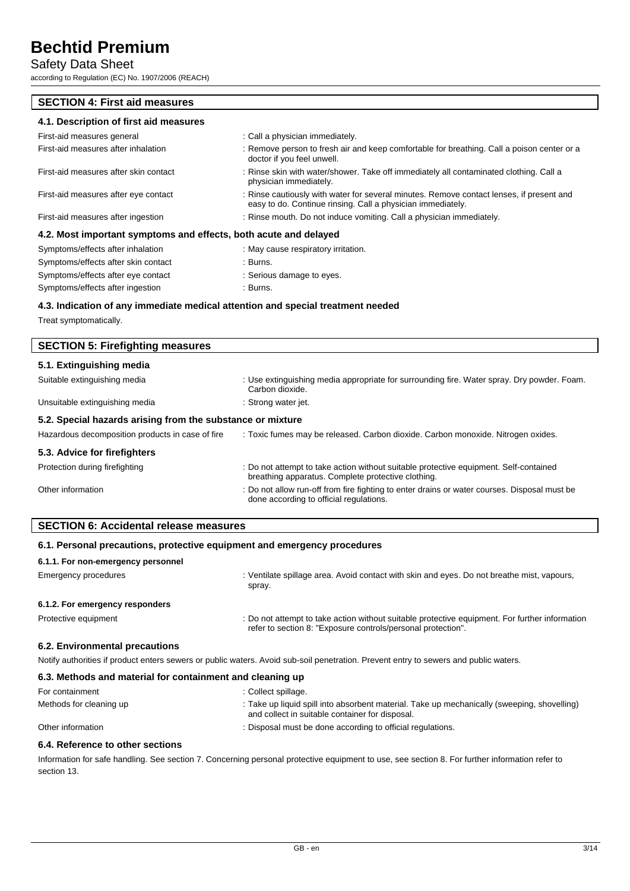### Safety Data Sheet

according to Regulation (EC) No. 1907/2006 (REACH)

#### **SECTION 4: First aid measures**

| 4.1. Description of first aid measures |                                                                                                                                                         |
|----------------------------------------|---------------------------------------------------------------------------------------------------------------------------------------------------------|
| First-aid measures general             | : Call a physician immediately.                                                                                                                         |
| First-aid measures after inhalation    | : Remove person to fresh air and keep comfortable for breathing. Call a poison center or a<br>doctor if you feel unwell.                                |
| First-aid measures after skin contact  | : Rinse skin with water/shower. Take off immediately all contaminated clothing. Call a<br>physician immediately.                                        |
| First-aid measures after eye contact   | : Rinse cautiously with water for several minutes. Remove contact lenses, if present and<br>easy to do. Continue rinsing. Call a physician immediately. |

First-aid measures after ingestion : Rinse mouth. Do not induce vomiting. Call a physician immediately.

#### **4.2. Most important symptoms and effects, both acute and delayed**

| Symptoms/effects after inhalation   | : May cause respiratory irritation. |
|-------------------------------------|-------------------------------------|
| Symptoms/effects after skin contact | :Burns.                             |
| Symptoms/effects after eye contact  | : Serious damage to eyes.           |
| Symptoms/effects after ingestion    | : Burns.                            |
|                                     |                                     |

#### **4.3. Indication of any immediate medical attention and special treatment needed**

Treat symptomatically.

| <b>SECTION 5: Firefighting measures</b>                    |                                                                                                                                             |  |
|------------------------------------------------------------|---------------------------------------------------------------------------------------------------------------------------------------------|--|
| 5.1. Extinguishing media                                   |                                                                                                                                             |  |
| Suitable extinguishing media                               | : Use extinguishing media appropriate for surrounding fire. Water spray. Dry powder. Foam.<br>Carbon dioxide.                               |  |
| Unsuitable extinguishing media                             | : Strong water jet.                                                                                                                         |  |
| 5.2. Special hazards arising from the substance or mixture |                                                                                                                                             |  |
| Hazardous decomposition products in case of fire           | : Toxic fumes may be released. Carbon dioxide. Carbon monoxide. Nitrogen oxides.                                                            |  |
| 5.3. Advice for firefighters                               |                                                                                                                                             |  |
| Protection during firefighting                             | : Do not attempt to take action without suitable protective equipment. Self-contained<br>breathing apparatus. Complete protective clothing. |  |
| Other information                                          | : Do not allow run-off from fire fighting to enter drains or water courses. Disposal must be<br>done according to official regulations.     |  |
|                                                            |                                                                                                                                             |  |

#### **SECTION 6: Accidental release measures**

### **6.1. Personal precautions, protective equipment and emergency procedures**

| 6.1.1. For non-emergency personnel |                                                                                                                                                                |
|------------------------------------|----------------------------------------------------------------------------------------------------------------------------------------------------------------|
| Emergency procedures               | : Ventilate spillage area. Avoid contact with skin and eyes. Do not breathe mist, vapours,<br>spray.                                                           |
| 6.1.2. For emergency responders    |                                                                                                                                                                |
| Protective equipment               | : Do not attempt to take action without suitable protective equipment. For further information<br>refer to section 8: "Exposure controls/personal protection". |
|                                    |                                                                                                                                                                |

#### **6.2. Environmental precautions** Notify authorities if product enters sewers or public waters. Avoid sub-soil penetration. Prevent entry to sewers and public waters.

| 6.3. Methods and material for containment and cleaning up |                                                                                                                                                |  |
|-----------------------------------------------------------|------------------------------------------------------------------------------------------------------------------------------------------------|--|
| For containment                                           | : Collect spillage.                                                                                                                            |  |
| Methods for cleaning up                                   | : Take up liquid spill into absorbent material. Take up mechanically (sweeping, shovelling)<br>and collect in suitable container for disposal. |  |
| Other information                                         | : Disposal must be done according to official regulations.                                                                                     |  |

#### **6.4. Reference to other sections**

Information for safe handling. See section 7. Concerning personal protective equipment to use, see section 8. For further information refer to section 13.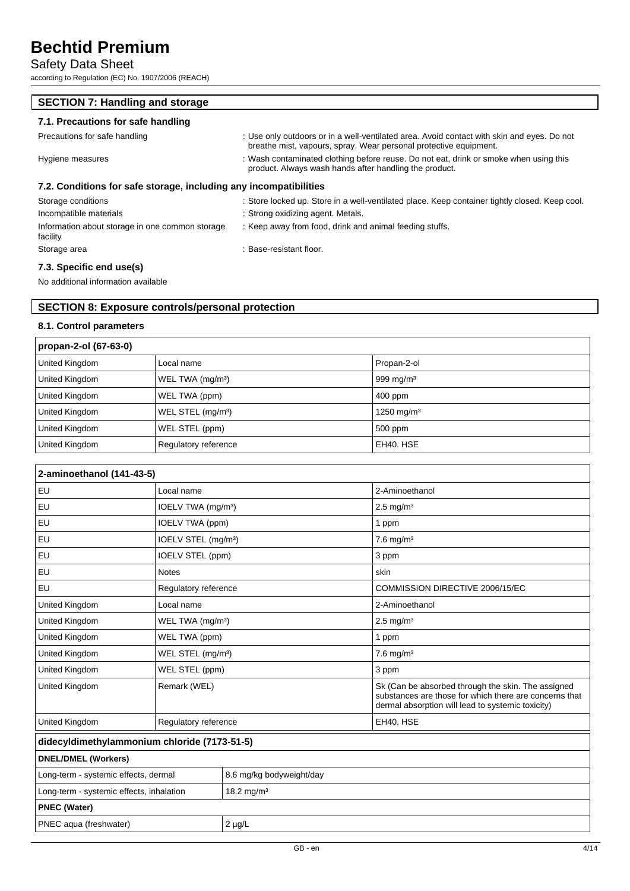### Safety Data Sheet

 $\overline{\phantom{a}}$ 

 $\mathsf{r}$ 

according to Regulation (EC) No. 1907/2006 (REACH)

| <b>SECTION 7: Handling and storage</b>                            |                                                                                                                                                                 |  |  |
|-------------------------------------------------------------------|-----------------------------------------------------------------------------------------------------------------------------------------------------------------|--|--|
| 7.1. Precautions for safe handling                                |                                                                                                                                                                 |  |  |
| Precautions for safe handling                                     | : Use only outdoors or in a well-ventilated area. Avoid contact with skin and eyes. Do not<br>breathe mist, vapours, spray. Wear personal protective equipment. |  |  |
| Hygiene measures                                                  | : Wash contaminated clothing before reuse. Do not eat, drink or smoke when using this<br>product. Always wash hands after handling the product.                 |  |  |
| 7.2. Conditions for safe storage, including any incompatibilities |                                                                                                                                                                 |  |  |
| Storage conditions                                                | : Store locked up. Store in a well-ventilated place. Keep container tightly closed. Keep cool.                                                                  |  |  |
| Incompatible materials                                            | : Strong oxidizing agent. Metals.                                                                                                                               |  |  |
| Information about storage in one common storage<br>facility       | : Keep away from food, drink and animal feeding stuffs.                                                                                                         |  |  |
| Storage area                                                      | : Base-resistant floor.                                                                                                                                         |  |  |

#### **7.3. Specific end use(s)**

No additional information available

#### **SECTION 8: Exposure controls/personal protection**

#### **8.1. Control parameters**

| propan-2-ol (67-63-0) |                               |                        |
|-----------------------|-------------------------------|------------------------|
| United Kingdom        | Local name                    | Propan-2-ol            |
| United Kingdom        | WEL TWA (mg/m <sup>3</sup> )  | 999 mg/m <sup>3</sup>  |
| United Kingdom        | WEL TWA (ppm)                 | 400 ppm                |
| United Kingdom        | WEL STEL (mg/m <sup>3</sup> ) | 1250 mg/m <sup>3</sup> |
| United Kingdom        | WEL STEL (ppm)                | 500 ppm                |
| United Kingdom        | Regulatory reference          | EH40, HSE              |

| 2-aminoethanol (141-43-5)                                          |                                 |  |                                                                                                                                                                   |
|--------------------------------------------------------------------|---------------------------------|--|-------------------------------------------------------------------------------------------------------------------------------------------------------------------|
| EU                                                                 | Local name                      |  | 2-Aminoethanol                                                                                                                                                    |
| EU                                                                 | IOELV TWA (mg/m <sup>3</sup> )  |  | $2.5 \text{ mg/m}^3$                                                                                                                                              |
| EU                                                                 | IOELV TWA (ppm)                 |  | 1 ppm                                                                                                                                                             |
| EU                                                                 | IOELV STEL (mg/m <sup>3</sup> ) |  | $7.6$ mg/m <sup>3</sup>                                                                                                                                           |
| EU                                                                 | IOELV STEL (ppm)                |  | 3 ppm                                                                                                                                                             |
| EU                                                                 | <b>Notes</b>                    |  | skin                                                                                                                                                              |
| EU                                                                 | Regulatory reference            |  | COMMISSION DIRECTIVE 2006/15/EC                                                                                                                                   |
| United Kingdom                                                     | Local name                      |  | 2-Aminoethanol                                                                                                                                                    |
| United Kingdom                                                     | WEL TWA (mg/m <sup>3</sup> )    |  | $2.5 \text{ mg/m}^3$                                                                                                                                              |
| United Kingdom                                                     | WEL TWA (ppm)                   |  | 1 ppm                                                                                                                                                             |
| United Kingdom                                                     | WEL STEL (mg/m <sup>3</sup> )   |  | $7.6$ mg/m <sup>3</sup>                                                                                                                                           |
| United Kingdom                                                     | WEL STEL (ppm)                  |  | 3 ppm                                                                                                                                                             |
| United Kingdom                                                     | Remark (WEL)                    |  | Sk (Can be absorbed through the skin. The assigned<br>substances are those for which there are concerns that<br>dermal absorption will lead to systemic toxicity) |
| United Kingdom                                                     | Regulatory reference            |  | EH40. HSE                                                                                                                                                         |
| didecyldimethylammonium chloride (7173-51-5)                       |                                 |  |                                                                                                                                                                   |
| <b>DNEL/DMEL (Workers)</b>                                         |                                 |  |                                                                                                                                                                   |
| Long-term - systemic effects, dermal<br>8.6 mg/kg bodyweight/day   |                                 |  |                                                                                                                                                                   |
| 18.2 mg/m <sup>3</sup><br>Long-term - systemic effects, inhalation |                                 |  |                                                                                                                                                                   |
| <b>PNEC (Water)</b>                                                |                                 |  |                                                                                                                                                                   |
| PNEC aqua (freshwater)                                             | $2 \mu g/L$                     |  |                                                                                                                                                                   |
|                                                                    |                                 |  |                                                                                                                                                                   |

٦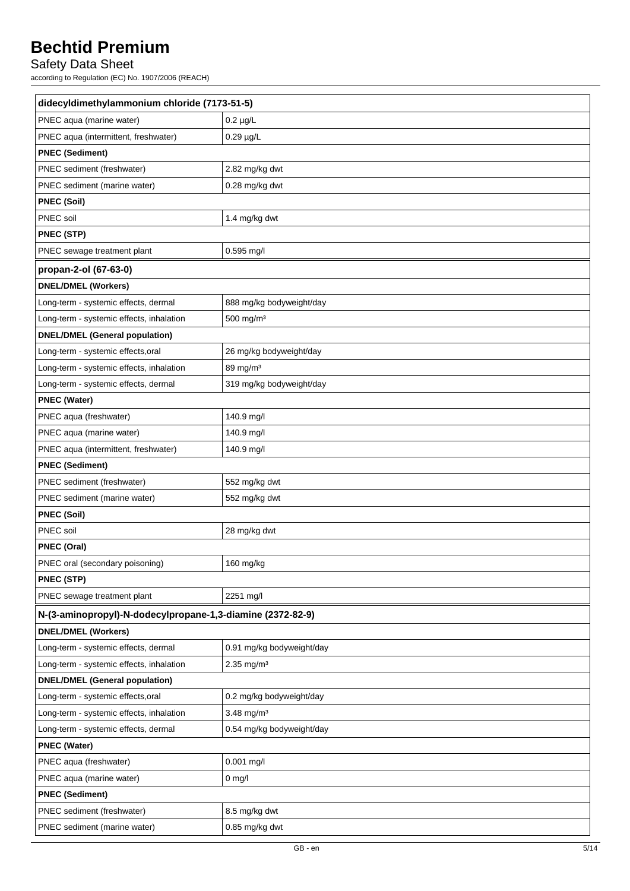### Safety Data Sheet

according to Regulation (EC) No. 1907/2006 (REACH)

| didecyldimethylammonium chloride (7173-51-5)               |                           |  |
|------------------------------------------------------------|---------------------------|--|
| PNEC aqua (marine water)                                   | $0.2 \mu g/L$             |  |
| PNEC aqua (intermittent, freshwater)                       | $0.29 \mu g/L$            |  |
| <b>PNEC (Sediment)</b>                                     |                           |  |
| PNEC sediment (freshwater)                                 | 2.82 mg/kg dwt            |  |
| PNEC sediment (marine water)                               | 0.28 mg/kg dwt            |  |
| <b>PNEC (Soil)</b>                                         |                           |  |
| PNEC soil                                                  | 1.4 mg/kg dwt             |  |
| PNEC (STP)                                                 |                           |  |
| PNEC sewage treatment plant                                | 0.595 mg/l                |  |
| propan-2-ol (67-63-0)                                      |                           |  |
| <b>DNEL/DMEL (Workers)</b>                                 |                           |  |
| Long-term - systemic effects, dermal                       | 888 mg/kg bodyweight/day  |  |
| Long-term - systemic effects, inhalation                   | 500 mg/m <sup>3</sup>     |  |
| <b>DNEL/DMEL (General population)</b>                      |                           |  |
| Long-term - systemic effects, oral                         | 26 mg/kg bodyweight/day   |  |
| Long-term - systemic effects, inhalation                   | 89 mg/m <sup>3</sup>      |  |
| Long-term - systemic effects, dermal                       | 319 mg/kg bodyweight/day  |  |
| <b>PNEC (Water)</b>                                        |                           |  |
| PNEC aqua (freshwater)                                     | 140.9 mg/l                |  |
| PNEC aqua (marine water)                                   | 140.9 mg/l                |  |
| PNEC aqua (intermittent, freshwater)                       | 140.9 mg/l                |  |
| <b>PNEC (Sediment)</b>                                     |                           |  |
| PNEC sediment (freshwater)                                 | 552 mg/kg dwt             |  |
| PNEC sediment (marine water)                               | 552 mg/kg dwt             |  |
| <b>PNEC (Soil)</b>                                         |                           |  |
| PNEC soil                                                  | 28 mg/kg dwt              |  |
| <b>PNEC (Oral)</b>                                         |                           |  |
| PNEC oral (secondary poisoning)                            | 160 mg/kg                 |  |
| PNEC (STP)                                                 |                           |  |
| PNEC sewage treatment plant                                | 2251 mg/l                 |  |
| N-(3-aminopropyl)-N-dodecylpropane-1,3-diamine (2372-82-9) |                           |  |
| <b>DNEL/DMEL (Workers)</b>                                 |                           |  |
| Long-term - systemic effects, dermal                       | 0.91 mg/kg bodyweight/day |  |
| Long-term - systemic effects, inhalation                   | $2.35$ mg/m <sup>3</sup>  |  |
| <b>DNEL/DMEL (General population)</b>                      |                           |  |
| Long-term - systemic effects, oral                         | 0.2 mg/kg bodyweight/day  |  |
| Long-term - systemic effects, inhalation                   | 3.48 mg/m <sup>3</sup>    |  |
| Long-term - systemic effects, dermal                       | 0.54 mg/kg bodyweight/day |  |
| <b>PNEC (Water)</b>                                        |                           |  |
| PNEC aqua (freshwater)                                     | $0.001$ mg/l              |  |
| PNEC aqua (marine water)                                   | $0$ mg/l                  |  |
| <b>PNEC (Sediment)</b>                                     |                           |  |
| PNEC sediment (freshwater)                                 | 8.5 mg/kg dwt             |  |
| PNEC sediment (marine water)                               | 0.85 mg/kg dwt            |  |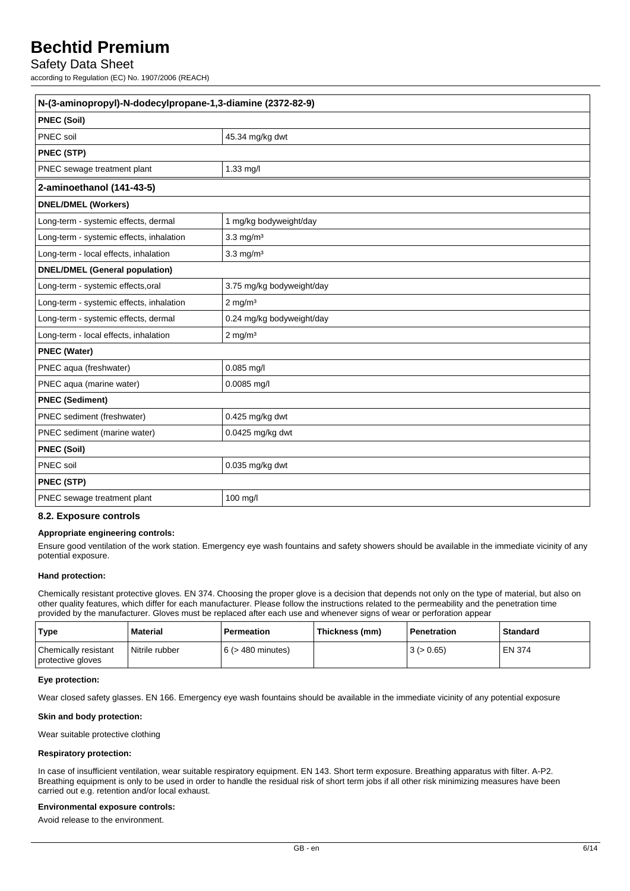#### Safety Data Sheet

according to Regulation (EC) No. 1907/2006 (REACH)

| N-(3-aminopropyl)-N-dodecylpropane-1,3-diamine (2372-82-9) |                           |  |
|------------------------------------------------------------|---------------------------|--|
| <b>PNEC (Soil)</b>                                         |                           |  |
| PNEC soil                                                  | 45.34 mg/kg dwt           |  |
| PNEC (STP)                                                 |                           |  |
| PNEC sewage treatment plant                                | 1.33 mg/l                 |  |
| 2-aminoethanol (141-43-5)                                  |                           |  |
| <b>DNEL/DMEL (Workers)</b>                                 |                           |  |
| Long-term - systemic effects, dermal                       | 1 mg/kg bodyweight/day    |  |
| Long-term - systemic effects, inhalation                   | $3.3$ mg/m <sup>3</sup>   |  |
| Long-term - local effects, inhalation                      | $3.3$ mg/m <sup>3</sup>   |  |
| <b>DNEL/DMEL (General population)</b>                      |                           |  |
| Long-term - systemic effects, oral                         | 3.75 mg/kg bodyweight/day |  |
| Long-term - systemic effects, inhalation                   | $2 \text{ mg/m}^3$        |  |
| Long-term - systemic effects, dermal                       | 0.24 mg/kg bodyweight/day |  |
| Long-term - local effects, inhalation                      | $2$ mg/m <sup>3</sup>     |  |
| <b>PNEC (Water)</b>                                        |                           |  |
| PNEC aqua (freshwater)                                     | $0.085$ mg/l              |  |
| PNEC aqua (marine water)                                   | $0.0085$ mg/l             |  |
| <b>PNEC (Sediment)</b>                                     |                           |  |
| PNEC sediment (freshwater)                                 | 0.425 mg/kg dwt           |  |
| PNEC sediment (marine water)                               | 0.0425 mg/kg dwt          |  |
| <b>PNEC (Soil)</b>                                         |                           |  |
| PNEC soil                                                  | 0.035 mg/kg dwt           |  |
| <b>PNEC (STP)</b>                                          |                           |  |
| PNEC sewage treatment plant                                | 100 mg/l                  |  |

#### **8.2. Exposure controls**

#### **Appropriate engineering controls:**

Ensure good ventilation of the work station. Emergency eye wash fountains and safety showers should be available in the immediate vicinity of any potential exposure.

#### **Hand protection:**

Chemically resistant protective gloves. EN 374. Choosing the proper glove is a decision that depends not only on the type of material, but also on other quality features, which differ for each manufacturer. Please follow the instructions related to the permeability and the penetration time provided by the manufacturer. Gloves must be replaced after each use and whenever signs of wear or perforation appear

| Type                                      | Material       | <b>Permeation</b>      | Thickness (mm) | Penetration | Standard |
|-------------------------------------------|----------------|------------------------|----------------|-------------|----------|
| Chemically resistant<br>protective gloves | Nitrile rubber | $6$ ( $>$ 480 minutes) |                | 3 (> 0.65)  | EN 374   |

#### **Eye protection:**

Wear closed safety glasses. EN 166. Emergency eye wash fountains should be available in the immediate vicinity of any potential exposure

#### **Skin and body protection:**

Wear suitable protective clothing

#### **Respiratory protection:**

In case of insufficient ventilation, wear suitable respiratory equipment. EN 143. Short term exposure. Breathing apparatus with filter. A-P2. Breathing equipment is only to be used in order to handle the residual risk of short term jobs if all other risk minimizing measures have been carried out e.g. retention and/or local exhaust.

#### **Environmental exposure controls:**

Avoid release to the environment.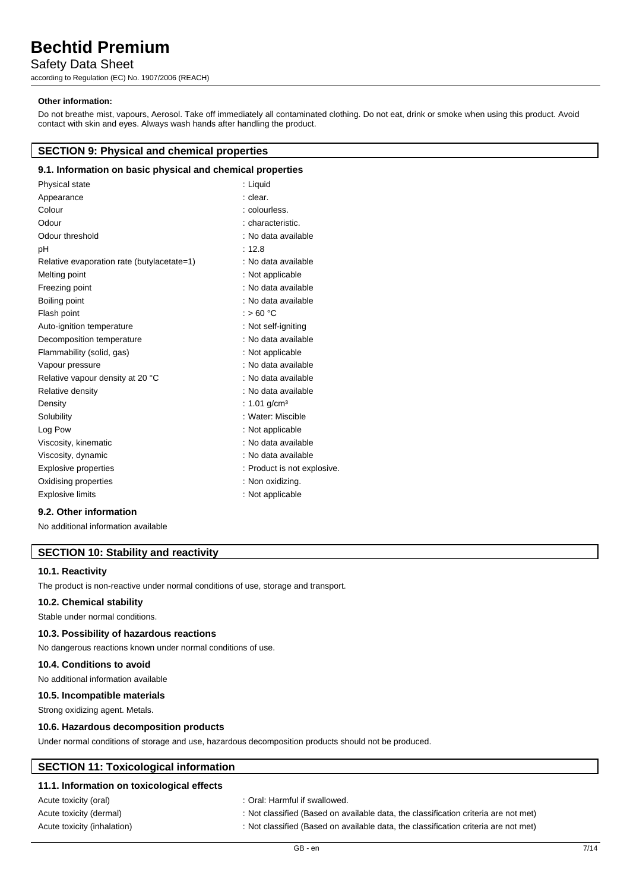### Safety Data Sheet

according to Regulation (EC) No. 1907/2006 (REACH)

#### **Other information:**

Do not breathe mist, vapours, Aerosol. Take off immediately all contaminated clothing. Do not eat, drink or smoke when using this product. Avoid contact with skin and eyes. Always wash hands after handling the product.

#### **SECTION 9: Physical and chemical properties**

#### **9.1. Information on basic physical and chemical properties**

| Physical state                             | : Liquid                    |
|--------------------------------------------|-----------------------------|
| Appearance                                 | : clear.                    |
| Colour                                     | : colourless.               |
| Odour                                      | : characteristic.           |
| Odour threshold                            | : No data available         |
| рH                                         | : 12.8                      |
| Relative evaporation rate (butylacetate=1) | : No data available         |
| Melting point                              | : Not applicable            |
| Freezing point                             | : No data available         |
| Boiling point                              | : No data available         |
| Flash point                                | : $>60 °C$                  |
| Auto-ignition temperature                  | : Not self-igniting         |
| Decomposition temperature                  | : No data available         |
| Flammability (solid, gas)                  | : Not applicable            |
| Vapour pressure                            | : No data available         |
| Relative vapour density at 20 °C           | : No data available         |
| Relative density                           | : No data available         |
| Density                                    | : 1.01 g/cm <sup>3</sup>    |
| Solubility                                 | : Water: Miscible           |
| Log Pow                                    | : Not applicable            |
| Viscosity, kinematic                       | : No data available         |
| Viscosity, dynamic                         | : No data available         |
| Explosive properties                       | : Product is not explosive. |
| Oxidising properties                       | : Non oxidizing.            |
| <b>Explosive limits</b>                    | : Not applicable            |
| $\sim$ $\sim$ $\sim$                       |                             |

#### **9.2. Other information**

No additional information available

#### **SECTION 10: Stability and reactivity**

#### **10.1. Reactivity**

The product is non-reactive under normal conditions of use, storage and transport.

#### **10.2. Chemical stability**

Stable under normal conditions.

#### **10.3. Possibility of hazardous reactions**

No dangerous reactions known under normal conditions of use.

#### **10.4. Conditions to avoid**

No additional information available

#### **10.5. Incompatible materials**

Strong oxidizing agent. Metals.

#### **10.6. Hazardous decomposition products**

Under normal conditions of storage and use, hazardous decomposition products should not be produced.

#### **SECTION 11: Toxicological information**

#### **11.1. Information on toxicological effects**

| Acute toxicity (oral)       |
|-----------------------------|
| Acute toxicity (dermal)     |
| Acute toxicity (inhalation) |

: Oral: Harmful if swallowed.

- : Not classified (Based on available data, the classification criteria are not met)
- : Not classified (Based on available data, the classification criteria are not met)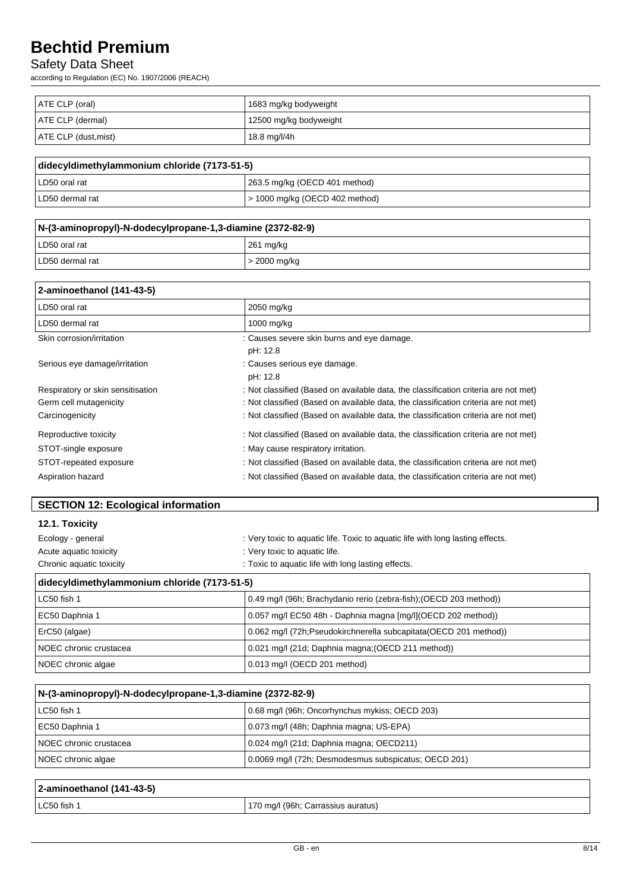### Safety Data Sheet

according to Regulation (EC) No. 1907/2006 (REACH)

| ATE CLP (oral)       | 1683 mg/kg bodyweight  |
|----------------------|------------------------|
| ATE CLP (dermal)     | 12500 mg/kg bodyweight |
| ATE CLP (dust, mist) | 18.8 mg/l/4h           |

| didecyldimethylammonium chloride (7173-51-5) |                                  |
|----------------------------------------------|----------------------------------|
| LD50 oral rat                                | 263.5 mg/kg (OECD 401 method)    |
| I LD50 dermal rat                            | l > 1000 mg/kg (OECD 402 method) |

| N-(3-aminopropyl)-N-dodecylpropane-1,3-diamine (2372-82-9) |              |
|------------------------------------------------------------|--------------|
| LD50 oral rat                                              | 261 mg/kg    |
| l LD50 dermal rat                                          | > 2000 mg/kg |

| 2-aminoethanol (141-43-5)         |                                                                                     |
|-----------------------------------|-------------------------------------------------------------------------------------|
| LD50 oral rat                     | 2050 mg/kg                                                                          |
| LD50 dermal rat                   | $1000$ mg/kg                                                                        |
| Skin corrosion/irritation         | : Causes severe skin burns and eye damage.                                          |
|                                   | pH: 12.8                                                                            |
| Serious eye damage/irritation     | : Causes serious eye damage.                                                        |
|                                   | pH: 12.8                                                                            |
| Respiratory or skin sensitisation | : Not classified (Based on available data, the classification criteria are not met) |
| Germ cell mutagenicity            | : Not classified (Based on available data, the classification criteria are not met) |
| Carcinogenicity                   | : Not classified (Based on available data, the classification criteria are not met) |
| Reproductive toxicity             | : Not classified (Based on available data, the classification criteria are not met) |
| STOT-single exposure              | : May cause respiratory irritation.                                                 |
| STOT-repeated exposure            | : Not classified (Based on available data, the classification criteria are not met) |
| Aspiration hazard                 | : Not classified (Based on available data, the classification criteria are not met) |

| 12.1. Toxicity                               |                                                                                |  |
|----------------------------------------------|--------------------------------------------------------------------------------|--|
| Ecology - general                            | : Very toxic to aquatic life. Toxic to aquatic life with long lasting effects. |  |
| Acute aguatic toxicity                       | : Very toxic to aquatic life.                                                  |  |
| Chronic aquatic toxicity                     | : Toxic to aquatic life with long lasting effects.                             |  |
| didecyldimethylammonium chloride (7173-51-5) |                                                                                |  |
| LC50 fish 1                                  | 0.49 mg/l (96h; Brachydanio rerio (zebra-fish); (OECD 203 method))             |  |
| EC50 Daphnia 1                               | 0.057 mg/l EC50 48h - Daphnia magna [mg/l](OECD 202 method))                   |  |
| ErC50 (algae)                                | 0.062 mg/l (72h;Pseudokirchnerella subcapitata(OECD 201 method))               |  |
| NOEC chronic crustacea                       | 0.021 mg/l (21d; Daphnia magna; (OECD 211 method))                             |  |
| NOEC chronic algae                           | 0.013 mg/l (OECD 201 method)                                                   |  |

| N-(3-aminopropyl)-N-dodecylpropane-1,3-diamine (2372-82-9) |                                                      |  |
|------------------------------------------------------------|------------------------------------------------------|--|
| LC50 fish 1                                                | 0.68 mg/l (96h; Oncorhynchus mykiss; OECD 203)       |  |
| EC50 Daphnia 1                                             | 0.073 mg/l (48h; Daphnia magna; US-EPA)              |  |
| NOEC chronic crustacea                                     | 0.024 mg/l (21d; Daphnia magna; OECD211)             |  |
| NOEC chronic algae                                         | 0.0069 mg/l (72h; Desmodesmus subspicatus; OECD 201) |  |

| 2-aminoethanol (141-43-5) |                                    |
|---------------------------|------------------------------------|
| <b>LC50</b> fish $\gamma$ | 170 mg/l (96h; Carrassius auratus) |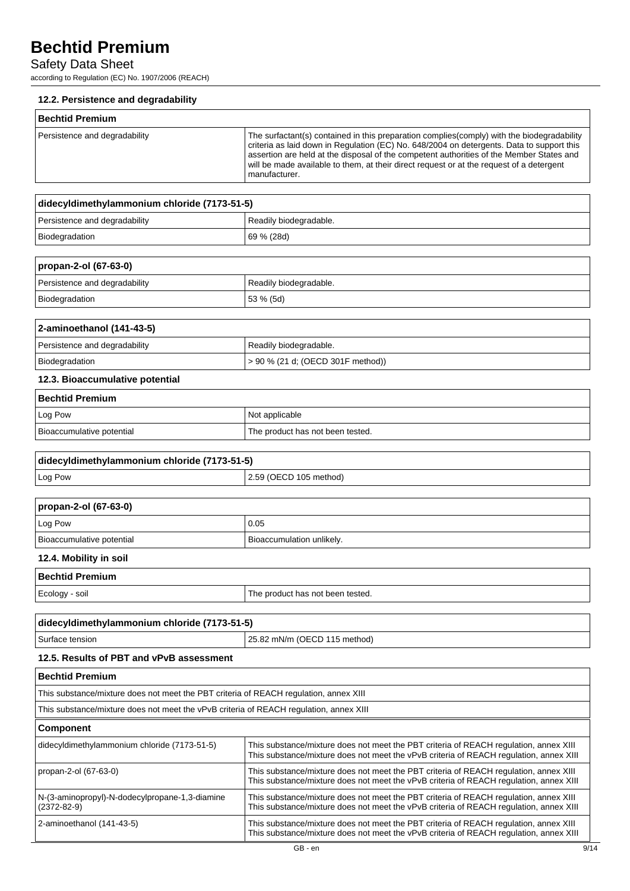### Safety Data Sheet

according to Regulation (EC) No. 1907/2006 (REACH)

#### **12.2. Persistence and degradability**

| <b>Bechtid Premium</b>        |                                                                                                                                                                                                                                                                                                                                                                                                  |
|-------------------------------|--------------------------------------------------------------------------------------------------------------------------------------------------------------------------------------------------------------------------------------------------------------------------------------------------------------------------------------------------------------------------------------------------|
| Persistence and degradability | The surfactant(s) contained in this preparation complies(comply) with the biodegradability<br>criteria as laid down in Regulation (EC) No. 648/2004 on detergents. Data to support this<br>assertion are held at the disposal of the competent authorities of the Member States and<br>will be made available to them, at their direct request or at the request of a detergent<br>manufacturer. |

| didecyldimethylammonium chloride (7173-51-5) |                        |
|----------------------------------------------|------------------------|
| Persistence and degradability                | Readily biodegradable. |
| Biodegradation                               | 69 % (28d)             |

| propan-2-ol (67-63-0)         |                        |
|-------------------------------|------------------------|
| Persistence and degradability | Readily biodegradable. |
| Biodegradation                | $153 \% (5d)$          |

| 2-aminoethanol (141-43-5)     |                                        |
|-------------------------------|----------------------------------------|
| Persistence and degradability | Readily biodegradable.                 |
| Biodegradation                | $\geq$ 90 % (21 d; (OECD 301F method)) |
|                               |                                        |

#### **12.3. Bioaccumulative potential**

| Bechtid Premium           |                                  |
|---------------------------|----------------------------------|
| Log Pow                   | Not applicable                   |
| Bioaccumulative potential | The product has not been tested. |

| didecyldimethylammonium chloride (7173-51-5) |                        |
|----------------------------------------------|------------------------|
| Log Pow                                      | 2.59 (OECD 105 method) |

| propan-2-ol (67-63-0)     |                           |
|---------------------------|---------------------------|
| Log Pow                   | 0.05                      |
| Bioaccumulative potential | Bioaccumulation unlikely. |
|                           |                           |

### **12.4. Mobility in soil**

| l Bechtid Premium |                                  |
|-------------------|----------------------------------|
| Ecology - soil    | The product has not been tested. |
|                   |                                  |

| didecyldimethylammonium chloride (7173-51-5) |                                |
|----------------------------------------------|--------------------------------|
| Surface tension                              | $25.82$ mN/m (OECD 115 method) |
|                                              |                                |

### **12.5. Results of PBT and vPvB assessment**

| Bechtid Premium                                                                        |                                                                                                                                                                                 |
|----------------------------------------------------------------------------------------|---------------------------------------------------------------------------------------------------------------------------------------------------------------------------------|
| This substance/mixture does not meet the PBT criteria of REACH regulation, annex XIII  |                                                                                                                                                                                 |
| This substance/mixture does not meet the vPvB criteria of REACH regulation, annex XIII |                                                                                                                                                                                 |
| Component                                                                              |                                                                                                                                                                                 |
| didecyldimethylammonium chloride (7173-51-5)                                           | This substance/mixture does not meet the PBT criteria of REACH regulation, annex XIII<br>This substance/mixture does not meet the vPvB criteria of REACH regulation, annex XIII |
| propan-2-ol (67-63-0)                                                                  | This substance/mixture does not meet the PBT criteria of REACH regulation, annex XIII<br>This substance/mixture does not meet the vPvB criteria of REACH regulation, annex XIII |
| N-(3-aminopropyl)-N-dodecylpropane-1,3-diamine<br>$(2372 - 82 - 9)$                    | This substance/mixture does not meet the PBT criteria of REACH regulation, annex XIII<br>This substance/mixture does not meet the vPvB criteria of REACH regulation, annex XIII |
| 2-aminoethanol (141-43-5)                                                              | This substance/mixture does not meet the PBT criteria of REACH regulation, annex XIII<br>This substance/mixture does not meet the vPvB criteria of REACH regulation, annex XIII |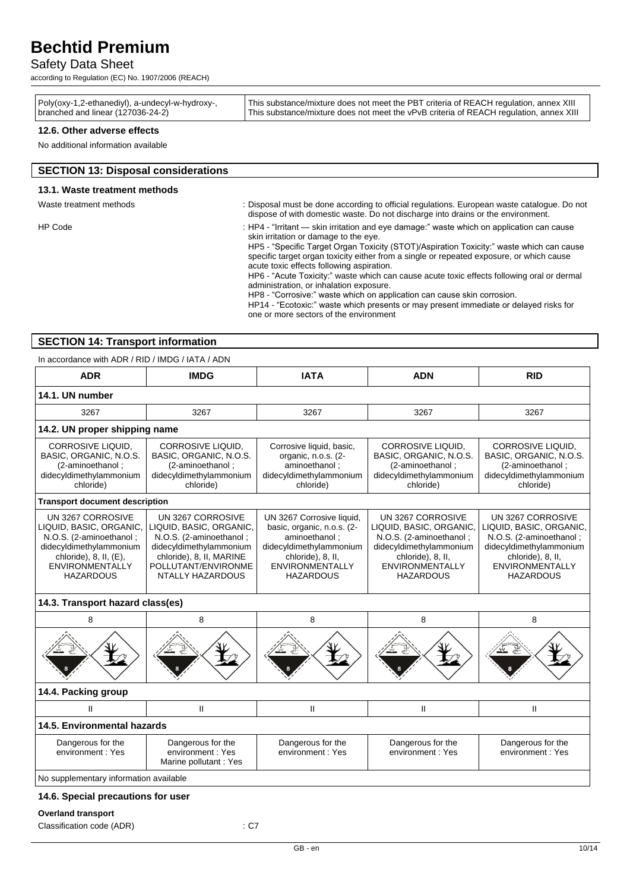### Safety Data Sheet

according to Regulation (EC) No. 1907/2006 (REACH)

#### **12.6. Other adverse effects**

No additional information available

| <b>SECTION 13: Disposal considerations</b> |                                                                                                                                                                                                                                                                                                                                                                                                                                                                                                                                                                                                                                                                                                                                |
|--------------------------------------------|--------------------------------------------------------------------------------------------------------------------------------------------------------------------------------------------------------------------------------------------------------------------------------------------------------------------------------------------------------------------------------------------------------------------------------------------------------------------------------------------------------------------------------------------------------------------------------------------------------------------------------------------------------------------------------------------------------------------------------|
| 13.1. Waste treatment methods              |                                                                                                                                                                                                                                                                                                                                                                                                                                                                                                                                                                                                                                                                                                                                |
| Waste treatment methods                    | : Disposal must be done according to official regulations. European waste catalogue. Do not<br>dispose of with domestic waste. Do not discharge into drains or the environment.                                                                                                                                                                                                                                                                                                                                                                                                                                                                                                                                                |
| HP Code                                    | : HP4 - "Irritant — skin irritation and eye damage:" waste which on application can cause<br>skin irritation or damage to the eye.<br>HP5 - "Specific Target Organ Toxicity (STOT)/Aspiration Toxicity:" waste which can cause<br>specific target organ toxicity either from a single or repeated exposure, or which cause<br>acute toxic effects following aspiration.<br>HP6 - "Acute Toxicity:" waste which can cause acute toxic effects following oral or dermal<br>administration, or inhalation exposure.<br>HP8 - "Corrosive:" waste which on application can cause skin corrosion.<br>HP14 - "Ecotoxic:" waste which presents or may present immediate or delayed risks for<br>one or more sectors of the environment |

#### **SECTION 14: Transport information**

In accordance with ADR / RID / IMDG / IATA / ADN

| <b>ADR</b>                                                                                                                                                                          | <b>IMDG</b>                                                                                                                                                               | <b>IATA</b>                                                                                                                                                            | <b>ADN</b>                                                                                                                                                            | <b>RID</b>                                                                                                                                                            |
|-------------------------------------------------------------------------------------------------------------------------------------------------------------------------------------|---------------------------------------------------------------------------------------------------------------------------------------------------------------------------|------------------------------------------------------------------------------------------------------------------------------------------------------------------------|-----------------------------------------------------------------------------------------------------------------------------------------------------------------------|-----------------------------------------------------------------------------------------------------------------------------------------------------------------------|
| 14.1. UN number                                                                                                                                                                     |                                                                                                                                                                           |                                                                                                                                                                        |                                                                                                                                                                       |                                                                                                                                                                       |
| 3267                                                                                                                                                                                | 3267                                                                                                                                                                      | 3267                                                                                                                                                                   | 3267                                                                                                                                                                  | 3267                                                                                                                                                                  |
|                                                                                                                                                                                     | 14.2. UN proper shipping name                                                                                                                                             |                                                                                                                                                                        |                                                                                                                                                                       |                                                                                                                                                                       |
| <b>CORROSIVE LIQUID.</b><br>BASIC, ORGANIC, N.O.S.<br>(2-aminoethanol;<br>didecyldimethylammonium<br>chloride)                                                                      | CORROSIVE LIQUID,<br>BASIC, ORGANIC, N.O.S.<br>(2-aminoethanol;<br>didecyldimethylammonium<br>chloride)                                                                   | Corrosive liquid, basic,<br>organic, n.o.s. (2-<br>aminoethanol;<br>didecyldimethylammonium<br>chloride)                                                               | CORROSIVE LIQUID,<br>BASIC, ORGANIC, N.O.S.<br>(2-aminoethanol;<br>didecyldimethylammonium<br>chloride)                                                               | <b>CORROSIVE LIQUID,</b><br>BASIC, ORGANIC, N.O.S.<br>(2-aminoethanol;<br>didecyldimethylammonium<br>chloride)                                                        |
| <b>Transport document description</b>                                                                                                                                               |                                                                                                                                                                           |                                                                                                                                                                        |                                                                                                                                                                       |                                                                                                                                                                       |
| UN 3267 CORROSIVE<br>LIQUID, BASIC, ORGANIC,<br>N.O.S. (2-aminoethanol;<br>didecyldimethylammonium<br>chloride), $8$ , $II$ , $(E)$ ,<br><b>ENVIRONMENTALLY</b><br><b>HAZARDOUS</b> | UN 3267 CORROSIVE<br>LIQUID, BASIC, ORGANIC,<br>N.O.S. (2-aminoethanol;<br>didecyldimethylammonium<br>chloride), 8, II, MARINE<br>POLLUTANT/ENVIRONME<br>NTALLY HAZARDOUS | UN 3267 Corrosive liquid,<br>basic, organic, n.o.s. (2-<br>aminoethanol:<br>didecyldimethylammonium<br>chloride), 8, II,<br><b>ENVIRONMENTALLY</b><br><b>HAZARDOUS</b> | UN 3267 CORROSIVE<br>LIQUID, BASIC, ORGANIC,<br>N.O.S. (2-aminoethanol;<br>didecyldimethylammonium<br>chloride), 8, II,<br><b>ENVIRONMENTALLY</b><br><b>HAZARDOUS</b> | UN 3267 CORROSIVE<br>LIQUID, BASIC, ORGANIC,<br>N.O.S. (2-aminoethanol;<br>didecyldimethylammonium<br>chloride), 8, II,<br><b>ENVIRONMENTALLY</b><br><b>HAZARDOUS</b> |
| 14.3. Transport hazard class(es)                                                                                                                                                    |                                                                                                                                                                           |                                                                                                                                                                        |                                                                                                                                                                       |                                                                                                                                                                       |
| 8                                                                                                                                                                                   | 8                                                                                                                                                                         | 8                                                                                                                                                                      | 8                                                                                                                                                                     | 8                                                                                                                                                                     |
|                                                                                                                                                                                     |                                                                                                                                                                           |                                                                                                                                                                        |                                                                                                                                                                       |                                                                                                                                                                       |
| 14.4. Packing group                                                                                                                                                                 |                                                                                                                                                                           |                                                                                                                                                                        |                                                                                                                                                                       |                                                                                                                                                                       |
| $\mathbf{I}$                                                                                                                                                                        | $\mathbf{I}$                                                                                                                                                              | $\mathbf{H}$                                                                                                                                                           | $\mathbf{II}$                                                                                                                                                         | $\mathbf{II}$                                                                                                                                                         |
| 14.5. Environmental hazards                                                                                                                                                         |                                                                                                                                                                           |                                                                                                                                                                        |                                                                                                                                                                       |                                                                                                                                                                       |
| Dangerous for the<br>environment: Yes                                                                                                                                               | Dangerous for the<br>environment: Yes<br>Marine pollutant : Yes                                                                                                           | Dangerous for the<br>environment: Yes                                                                                                                                  | Dangerous for the<br>environment: Yes                                                                                                                                 | Dangerous for the<br>environment: Yes                                                                                                                                 |
| No supplementary information available                                                                                                                                              |                                                                                                                                                                           |                                                                                                                                                                        |                                                                                                                                                                       |                                                                                                                                                                       |

### **14.6. Special precautions for user**

#### **Overland transport**

Classification code (ADR) : C7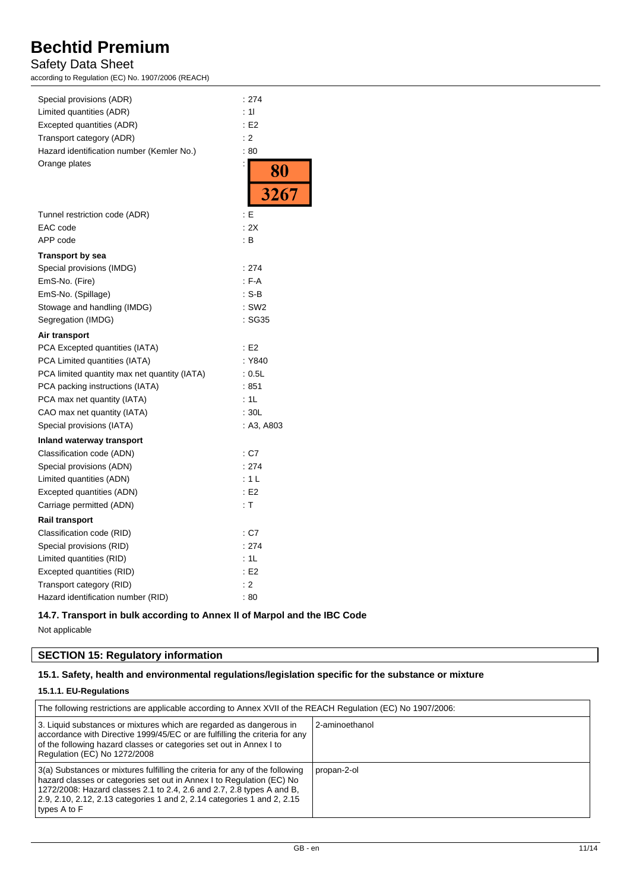### Safety Data Sheet

according to Regulation (EC) No. 1907/2006 (REACH)

| Special provisions (ADR)                     | : 274             |
|----------------------------------------------|-------------------|
| Limited quantities (ADR)                     | : 11              |
| Excepted quantities (ADR)                    | E2                |
| Transport category (ADR)                     | : 2               |
| Hazard identification number (Kemler No.)    | :80               |
| Orange plates                                | $\frac{80}{3267}$ |
|                                              |                   |
|                                              |                   |
| Tunnel restriction code (ADR)                | : E               |
| EAC code                                     | : 2X              |
| APP code                                     | : B               |
| <b>Transport by sea</b>                      |                   |
| Special provisions (IMDG)                    | : 274             |
| EmS-No. (Fire)                               | $F-A$             |
| EmS-No. (Spillage)                           | : S-B             |
| Stowage and handling (IMDG)                  | $:$ SW2           |
| Segregation (IMDG)                           | : SG35            |
| Air transport                                |                   |
| PCA Excepted quantities (IATA)               | E2                |
| PCA Limited quantities (IATA)                | : Y840            |
| PCA limited quantity max net quantity (IATA) | : 0.5L            |
| PCA packing instructions (IATA)              | :851              |
| PCA max net quantity (IATA)                  | : 1L              |
| CAO max net quantity (IATA)                  | :30L              |
| Special provisions (IATA)                    | : A3, A803        |
| Inland waterway transport                    |                   |
| Classification code (ADN)                    | : C7              |
| Special provisions (ADN)                     | : 274             |
| Limited quantities (ADN)                     | : 1 L             |
| Excepted quantities (ADN)                    | E2                |
| Carriage permitted (ADN)                     | : T               |
| <b>Rail transport</b>                        |                   |
| Classification code (RID)                    | : C7              |
| Special provisions (RID)                     | : 274             |
| Limited quantities (RID)                     | : 1L              |
| Excepted quantities (RID)                    | E2                |
| Transport category (RID)                     | : 2               |
| Hazard identification number (RID)           | : 80              |

#### **14.7. Transport in bulk according to Annex II of Marpol and the IBC Code**

Not applicable

### **SECTION 15: Regulatory information**

#### **15.1. Safety, health and environmental regulations/legislation specific for the substance or mixture**

#### **15.1.1. EU-Regulations**

| The following restrictions are applicable according to Annex XVII of the REACH Regulation (EC) No 1907/2006:                                                                                                                                                                                                              |                |  |
|---------------------------------------------------------------------------------------------------------------------------------------------------------------------------------------------------------------------------------------------------------------------------------------------------------------------------|----------------|--|
| 3. Liquid substances or mixtures which are regarded as dangerous in<br>accordance with Directive 1999/45/EC or are fulfilling the criteria for any<br>of the following hazard classes or categories set out in Annex I to<br>Regulation (EC) No 1272/2008                                                                 | 2-aminoethanol |  |
| 3(a) Substances or mixtures fulfilling the criteria for any of the following<br>hazard classes or categories set out in Annex I to Regulation (EC) No<br>1272/2008: Hazard classes 2.1 to 2.4, 2.6 and 2.7, 2.8 types A and B,<br>2.9, 2.10, 2.12, 2.13 categories 1 and 2, 2.14 categories 1 and 2, 2.15<br>types A to F | propan-2-ol    |  |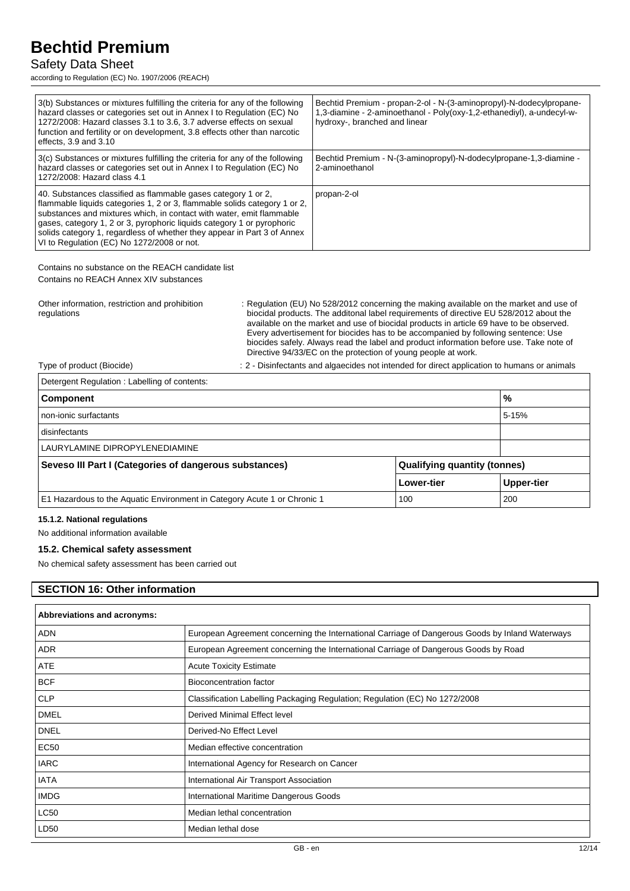### Safety Data Sheet

according to Regulation (EC) No. 1907/2006 (REACH)

| 3(b) Substances or mixtures fulfilling the criteria for any of the following<br>hazard classes or categories set out in Annex I to Regulation (EC) No<br>1272/2008: Hazard classes 3.1 to 3.6, 3.7 adverse effects on sexual<br>function and fertility or on development, 3.8 effects other than narcotic<br>effects, 3.9 and 3.10                                                                                    | Bechtid Premium - propan-2-ol - N-(3-aminopropyl)-N-dodecylpropane-<br>1,3-diamine - 2-aminoethanol - Poly(oxy-1,2-ethanediyl), a-undecyl-w-<br>hydroxy-, branched and linear |
|-----------------------------------------------------------------------------------------------------------------------------------------------------------------------------------------------------------------------------------------------------------------------------------------------------------------------------------------------------------------------------------------------------------------------|-------------------------------------------------------------------------------------------------------------------------------------------------------------------------------|
| 3(c) Substances or mixtures fulfilling the criteria for any of the following<br>hazard classes or categories set out in Annex I to Regulation (EC) No<br>1272/2008: Hazard class 4.1                                                                                                                                                                                                                                  | Bechtid Premium - N-(3-aminopropyl)-N-dodecylpropane-1,3-diamine -<br>2-aminoethanol                                                                                          |
| 40. Substances classified as flammable gases category 1 or 2,<br>flammable liquids categories 1, 2 or 3, flammable solids category 1 or 2,<br>substances and mixtures which, in contact with water, emit flammable<br>gases, category 1, 2 or 3, pyrophoric liquids category 1 or pyrophoric<br>solids category 1, regardless of whether they appear in Part 3 of Annex<br>VI to Regulation (EC) No 1272/2008 or not. | propan-2-ol                                                                                                                                                                   |
| Contains no substance on the REACH candidate list<br>Contains no REACH Annex XIV substances                                                                                                                                                                                                                                                                                                                           |                                                                                                                                                                               |

Other information, restriction and prohibition regulations : Regulation (EU) No 528/2012 concerning the making available on the market and use of biocidal products. The additonal label requirements of directive EU 528/2012 about the available on the market and use of biocidal products in article 69 have to be observed. Every advertisement for biocides has to be accompanied by following sentence: Use biocides safely. Always read the label and product information before use. Take note of Directive 94/33/EC on the protection of young people at work.

Type of product (Biocide) : 2 - Disinfectants and algaecides not intended for direct application to humans or animals

| Detergent Regulation: Labelling of contents:                             |                                     |            |
|--------------------------------------------------------------------------|-------------------------------------|------------|
| <b>Component</b>                                                         |                                     | %          |
| non-ionic surfactants                                                    |                                     | 5-15%      |
| disinfectants                                                            |                                     |            |
| LAURYLAMINE DIPROPYLENEDIAMINE                                           |                                     |            |
| Seveso III Part I (Categories of dangerous substances)                   | <b>Qualifying quantity (tonnes)</b> |            |
|                                                                          | Lower-tier                          | Upper-tier |
| E1 Hazardous to the Aquatic Environment in Category Acute 1 or Chronic 1 | 100                                 | 200        |

#### **15.1.2. National regulations**

No additional information available

#### **15.2. Chemical safety assessment**

No chemical safety assessment has been carried out

#### **SECTION 16: Other information**

| <b>Abbreviations and acronyms:</b> |                                                                                                 |  |
|------------------------------------|-------------------------------------------------------------------------------------------------|--|
| <b>ADN</b>                         | European Agreement concerning the International Carriage of Dangerous Goods by Inland Waterways |  |
| <b>ADR</b>                         | European Agreement concerning the International Carriage of Dangerous Goods by Road             |  |
| <b>ATE</b>                         | <b>Acute Toxicity Estimate</b>                                                                  |  |
| <b>BCF</b>                         | <b>Bioconcentration factor</b>                                                                  |  |
| <b>CLP</b>                         | Classification Labelling Packaging Regulation; Regulation (EC) No 1272/2008                     |  |
| <b>DMEL</b>                        | Derived Minimal Effect level                                                                    |  |
| <b>DNEL</b>                        | Derived-No Effect Level                                                                         |  |
| EC50                               | Median effective concentration                                                                  |  |
| <b>IARC</b>                        | International Agency for Research on Cancer                                                     |  |
| <b>IATA</b>                        | International Air Transport Association                                                         |  |
| <b>IMDG</b>                        | International Maritime Dangerous Goods                                                          |  |
| <b>LC50</b>                        | Median lethal concentration                                                                     |  |
| LD50                               | Median lethal dose                                                                              |  |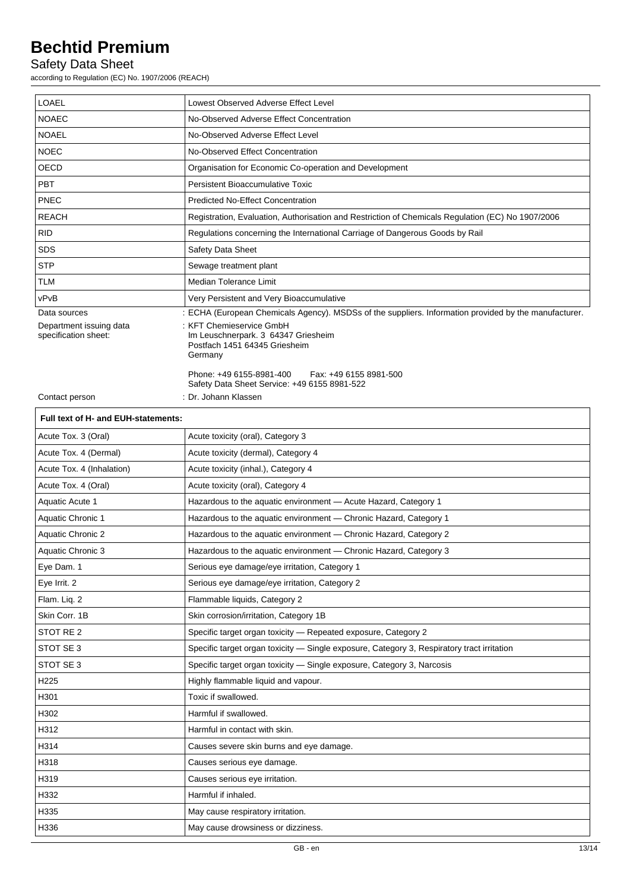### Safety Data Sheet

according to Regulation (EC) No. 1907/2006 (REACH)

| <b>LOAEL</b>                                    | Lowest Observed Adverse Effect Level                                                                        |  |
|-------------------------------------------------|-------------------------------------------------------------------------------------------------------------|--|
| <b>NOAEC</b>                                    | No-Observed Adverse Effect Concentration                                                                    |  |
| <b>NOAEL</b>                                    | No-Observed Adverse Effect Level                                                                            |  |
| <b>NOEC</b>                                     | No-Observed Effect Concentration                                                                            |  |
| <b>OECD</b>                                     | Organisation for Economic Co-operation and Development                                                      |  |
| <b>PBT</b>                                      | Persistent Bioaccumulative Toxic                                                                            |  |
| PNEC                                            | <b>Predicted No-Effect Concentration</b>                                                                    |  |
| <b>REACH</b>                                    | Registration, Evaluation, Authorisation and Restriction of Chemicals Regulation (EC) No 1907/2006           |  |
| <b>RID</b>                                      | Regulations concerning the International Carriage of Dangerous Goods by Rail                                |  |
| <b>SDS</b>                                      | Safety Data Sheet                                                                                           |  |
| <b>STP</b>                                      | Sewage treatment plant                                                                                      |  |
| <b>TLM</b>                                      | Median Tolerance Limit                                                                                      |  |
| vPvB                                            | Very Persistent and Very Bioaccumulative                                                                    |  |
| Data sources                                    | : ECHA (European Chemicals Agency). MSDSs of the suppliers. Information provided by the manufacturer.       |  |
| Department issuing data<br>specification sheet: | : KFT Chemieservice GmbH<br>Im Leuschnerpark. 3 64347 Griesheim<br>Postfach 1451 64345 Griesheim<br>Germany |  |
|                                                 | Phone: +49 6155-8981-400<br>Fax: +49 6155 8981-500<br>Safety Data Sheet Service: +49 6155 8981-522          |  |
| Contact person                                  | : Dr. Johann Klassen                                                                                        |  |

|  | Full text of H- and EUH-statements: |
|--|-------------------------------------|
|  |                                     |

| Acute Tox. 3 (Oral)       | Acute toxicity (oral), Category 3                                                          |
|---------------------------|--------------------------------------------------------------------------------------------|
| Acute Tox. 4 (Dermal)     | Acute toxicity (dermal), Category 4                                                        |
| Acute Tox. 4 (Inhalation) | Acute toxicity (inhal.), Category 4                                                        |
| Acute Tox. 4 (Oral)       | Acute toxicity (oral), Category 4                                                          |
| Aquatic Acute 1           | Hazardous to the aquatic environment - Acute Hazard, Category 1                            |
| <b>Aquatic Chronic 1</b>  | Hazardous to the aquatic environment - Chronic Hazard, Category 1                          |
| <b>Aquatic Chronic 2</b>  | Hazardous to the aquatic environment - Chronic Hazard, Category 2                          |
| Aquatic Chronic 3         | Hazardous to the aquatic environment - Chronic Hazard, Category 3                          |
| Eye Dam. 1                | Serious eye damage/eye irritation, Category 1                                              |
| Eye Irrit. 2              | Serious eye damage/eye irritation, Category 2                                              |
| Flam. Liq. 2              | Flammable liquids, Category 2                                                              |
| Skin Corr. 1B             | Skin corrosion/irritation, Category 1B                                                     |
| STOT RE 2                 | Specific target organ toxicity - Repeated exposure, Category 2                             |
| STOT SE 3                 | Specific target organ toxicity - Single exposure, Category 3, Respiratory tract irritation |
| STOT SE 3                 | Specific target organ toxicity - Single exposure, Category 3, Narcosis                     |
| H <sub>225</sub>          | Highly flammable liquid and vapour.                                                        |
| H301                      | Toxic if swallowed.                                                                        |
| H302                      | Harmful if swallowed.                                                                      |
| H312                      | Harmful in contact with skin.                                                              |
| H314                      | Causes severe skin burns and eye damage.                                                   |
| H318                      | Causes serious eye damage.                                                                 |
| H319                      | Causes serious eye irritation.                                                             |
| H332                      | Harmful if inhaled.                                                                        |
| H335                      | May cause respiratory irritation.                                                          |
| H336                      | May cause drowsiness or dizziness.                                                         |
|                           |                                                                                            |